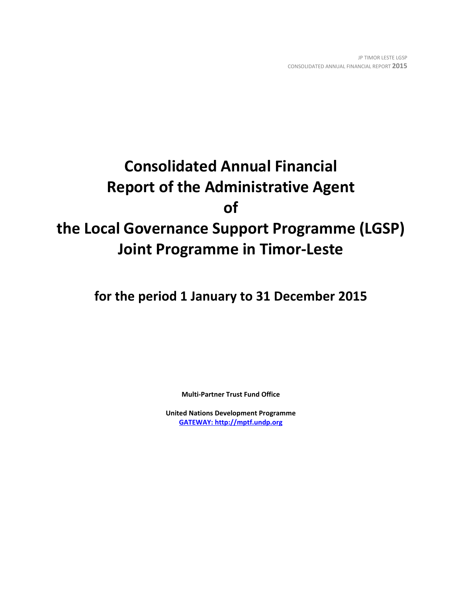# **Consolidated Annual Financial Report of the Administrative Agent of the Local Governance Support Programme (LGSP) Joint Programme in Timor-Leste**

**for the period 1 January to 31 December 2015**

**Multi-Partner Trust Fund Office**

**United Nations Development Programme [GATEWAY: http://mptf.undp.org](http://mptf.undp.org/)**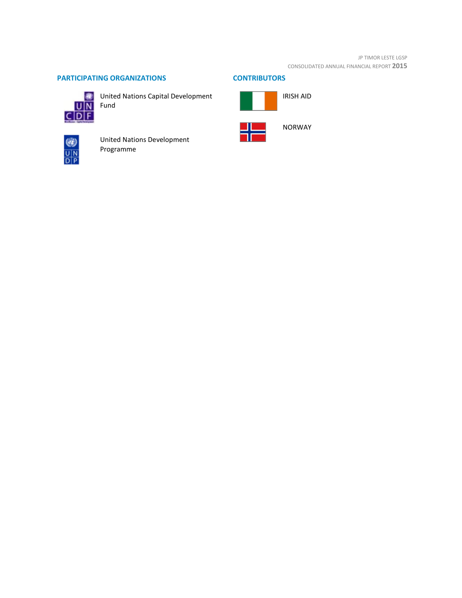#### JP TIMOR LESTE LGSP CONSOLIDATED ANNUAL FINANCIAL REPORT **2015**

# **PARTICIPATING ORGANIZATIONS CONTRIBUTORS**



United Nations Capital Development



United Nations Development Programme

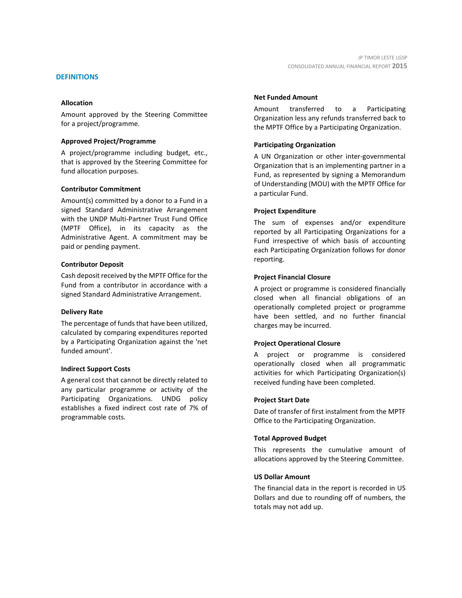#### **DEFINITIONS**

#### **Allocation**

Amount approved by the Steering Committee for a project/programme.

#### **Approved Project/Programme**

A project/programme including budget, etc., that is approved by the Steering Committee for fund allocation purposes.

#### **Contributor Commitment**

Amount(s) committed by a donor to a Fund in a signed Standard Administrative Arrangement with the UNDP Multi-Partner Trust Fund Office (MPTF Office), in its capacity as the Administrative Agent. A commitment may be paid or pending payment.

#### **Contributor Deposit**

Cash deposit received by the MPTF Office for the Fund from a contributor in accordance with a signed Standard Administrative Arrangement.

#### **Delivery Rate**

The percentage of funds that have been utilized, calculated by comparing expenditures reported by a Participating Organization against the 'net funded amount'.

#### **Indirect Support Costs**

A general cost that cannot be directly related to any particular programme or activity of the Participating Organizations. UNDG policy establishes a fixed indirect cost rate of 7% of programmable costs.

#### **Net Funded Amount**

Amount transferred to a Participating Organization less any refunds transferred back to the MPTF Office by a Participating Organization.

#### **Participating Organization**

A UN Organization or other inter-governmental Organization that is an implementing partner in a Fund, as represented by signing a Memorandum of Understanding (MOU) with the MPTF Office for a particular Fund.

#### **Project Expenditure**

The sum of expenses and/or expenditure reported by all Participating Organizations for a Fund irrespective of which basis of accounting each Participating Organization follows for donor reporting.

#### **Project Financial Closure**

A project or programme is considered financially closed when all financial obligations of an operationally completed project or programme have been settled, and no further financial charges may be incurred.

### **Project Operational Closure**

A project or programme is considered operationally closed when all programmatic activities for which Participating Organization(s) received funding have been completed.

#### **Project Start Date**

Date of transfer of first instalment from the MPTF Office to the Participating Organization.

#### **Total Approved Budget**

This represents the cumulative amount of allocations approved by the Steering Committee.

#### **US Dollar Amount**

The financial data in the report is recorded in US Dollars and due to rounding off of numbers, the totals may not add up.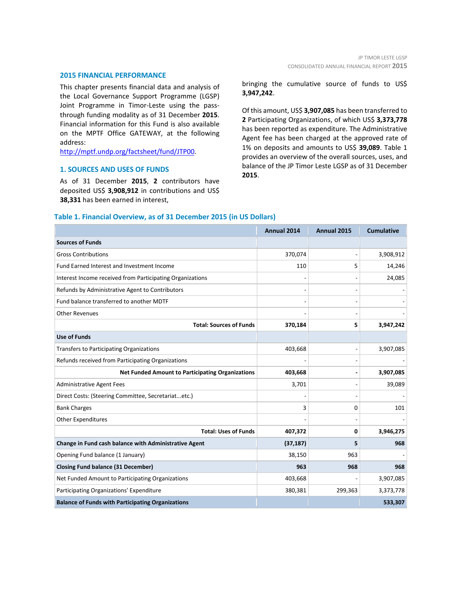#### **2015 FINANCIAL PERFORMANCE**

This chapter presents financial data and analysis of the Local Governance Support Programme (LGSP) Joint Programme in Timor-Leste using the passthrough funding modality as of 31 December **2015**. Financial information for this Fund is also available on the MPTF Office GATEWAY, at the following address:

[http://mptf.undp.org/factsheet/fund/JTP00.](http://mptf.undp.org/factsheet/fund/JTP00)

#### **1. SOURCES AND USES OF FUNDS**

As of 31 December **2015**, **2** contributors have deposited US\$ **3,908,912** in contributions and US\$ **38,331** has been earned in interest,

bringing the cumulative source of funds to US\$ **3,947,242**.

Of this amount, US\$ **3,907,085** has been transferred to **2** Participating Organizations, of which US\$ **3,373,778** has been reported as expenditure. The Administrative Agent fee has been charged at the approved rate of 1% on deposits and amounts to US\$ **39,089**. Table 1 provides an overview of the overall sources, uses, and balance of the JP Timor Leste LGSP as of 31 December **2015**.

#### **Table 1. Financial Overview, as of 31 December 2015 (in US Dollars)**

|                                                           | Annual 2014 | Annual 2015 | <b>Cumulative</b> |
|-----------------------------------------------------------|-------------|-------------|-------------------|
| <b>Sources of Funds</b>                                   |             |             |                   |
| <b>Gross Contributions</b>                                | 370,074     |             | 3,908,912         |
| Fund Earned Interest and Investment Income                | 110         | 5           | 14,246            |
| Interest Income received from Participating Organizations |             |             | 24,085            |
| Refunds by Administrative Agent to Contributors           |             |             |                   |
| Fund balance transferred to another MDTF                  |             |             |                   |
| <b>Other Revenues</b>                                     |             |             |                   |
| <b>Total: Sources of Funds</b>                            | 370,184     | 5           | 3,947,242         |
| <b>Use of Funds</b>                                       |             |             |                   |
| <b>Transfers to Participating Organizations</b>           | 403,668     |             | 3,907,085         |
| Refunds received from Participating Organizations         |             |             |                   |
| <b>Net Funded Amount to Participating Organizations</b>   | 403,668     |             | 3,907,085         |
| <b>Administrative Agent Fees</b>                          | 3,701       |             | 39,089            |
| Direct Costs: (Steering Committee, Secretariatetc.)       |             |             |                   |
| <b>Bank Charges</b>                                       | 3           | 0           | 101               |
| Other Expenditures                                        |             |             |                   |
| <b>Total: Uses of Funds</b>                               | 407,372     | 0           | 3,946,275         |
| Change in Fund cash balance with Administrative Agent     | (37, 187)   | 5           | 968               |
| Opening Fund balance (1 January)                          | 38,150      | 963         |                   |
| <b>Closing Fund balance (31 December)</b>                 | 963         | 968         | 968               |
| Net Funded Amount to Participating Organizations          | 403,668     |             | 3,907,085         |
| Participating Organizations' Expenditure                  | 380,381     | 299,363     | 3,373,778         |
| <b>Balance of Funds with Participating Organizations</b>  |             |             | 533,307           |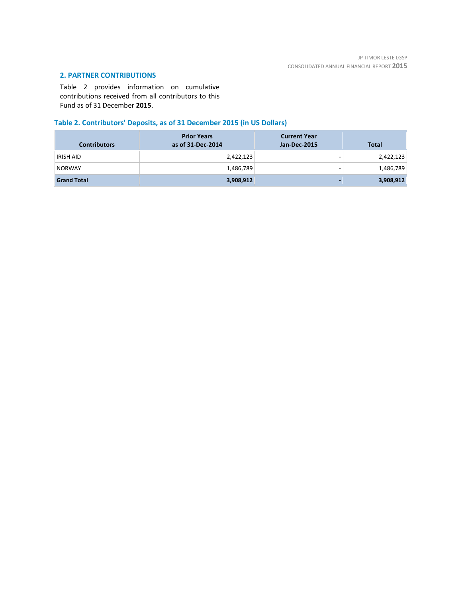# **2. PARTNER CONTRIBUTIONS**

Table 2 provides information on cumulative contributions received from all contributors to this Fund as of 31 December **2015**.

# **Table 2. Contributors' Deposits, as of 31 December 2015 (in US Dollars)**

| <b>Contributors</b> | <b>Prior Years</b><br>as of 31-Dec-2014 | <b>Current Year</b><br>Jan-Dec-2015 | <b>Total</b> |
|---------------------|-----------------------------------------|-------------------------------------|--------------|
| <b>IRISH AID</b>    | 2,422,123                               | -                                   | 2,422,123    |
| <b>NORWAY</b>       | 1,486,789                               | -                                   | 1,486,789    |
| <b>Grand Total</b>  | 3,908,912                               |                                     | 3,908,912    |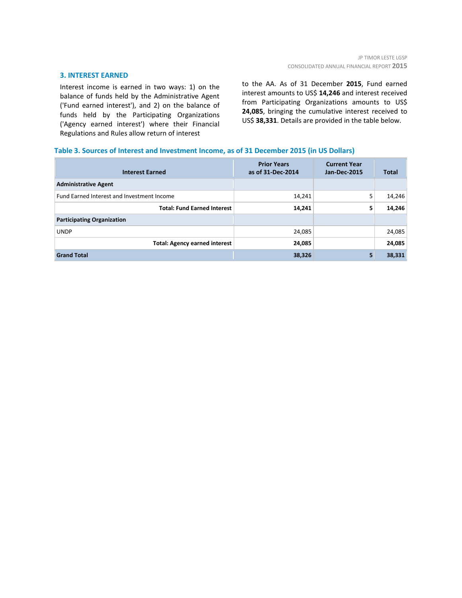#### **3. INTEREST EARNED**

Interest income is earned in two ways: 1) on the balance of funds held by the Administrative Agent ('Fund earned interest'), and 2) on the balance of funds held by the Participating Organizations ('Agency earned interest') where their Financial Regulations and Rules allow return of interest

to the AA. As of 31 December **2015**, Fund earned interest amounts to US\$ **14,246** and interest received from Participating Organizations amounts to US\$ **24,085**, bringing the cumulative interest received to US\$ **38,331**. Details are provided in the table below.

#### **Table 3. Sources of Interest and Investment Income, as of 31 December 2015 (in US Dollars)**

| <b>Interest Earned</b>                     | <b>Prior Years</b><br>as of 31-Dec-2014 | <b>Current Year</b><br><b>Jan-Dec-2015</b> | <b>Total</b> |
|--------------------------------------------|-----------------------------------------|--------------------------------------------|--------------|
| <b>Administrative Agent</b>                |                                         |                                            |              |
| Fund Earned Interest and Investment Income | 14,241                                  | 5                                          | 14,246       |
| <b>Total: Fund Earned Interest</b>         | 14,241                                  | 5                                          | 14,246       |
| <b>Participating Organization</b>          |                                         |                                            |              |
| <b>UNDP</b>                                | 24,085                                  |                                            | 24,085       |
| <b>Total: Agency earned interest</b>       | 24,085                                  |                                            | 24,085       |
| <b>Grand Total</b>                         | 38,326                                  | 5                                          | 38,331       |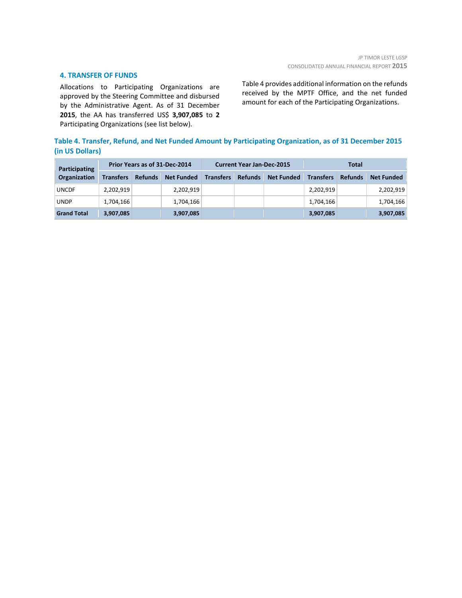#### **4. TRANSFER OF FUNDS**

Allocations to Participating Organizations are approved by the Steering Committee and disbursed by the Administrative Agent. As of 31 December **2015**, the AA has transferred US\$ **3,907,085** to **2** Participating Organizations (see list below).

Table 4 provides additional information on the refunds received by the MPTF Office, and the net funded amount for each of the Participating Organizations.

## **Table 4. Transfer, Refund, and Net Funded Amount by Participating Organization, as of 31 December 2015 (in US Dollars)**

| <b>Participating</b> | Prior Years as of 31-Dec-2014 |                |                   | <b>Current Year Jan-Dec-2015</b> |                |                   | Total            |                |                   |
|----------------------|-------------------------------|----------------|-------------------|----------------------------------|----------------|-------------------|------------------|----------------|-------------------|
| Organization         | <b>Transfers</b>              | <b>Refunds</b> | <b>Net Funded</b> | <b>Transfers</b>                 | <b>Refunds</b> | <b>Net Funded</b> | <b>Transfers</b> | <b>Refunds</b> | <b>Net Funded</b> |
| <b>UNCDF</b>         | 2.202.919                     |                | 2,202,919         |                                  |                |                   | 2,202,919        |                | 2,202,919         |
| <b>UNDP</b>          | 1,704,166                     |                | 1,704,166         |                                  |                |                   | 1,704,166        |                | 1,704,166         |
| <b>Grand Total</b>   | 3,907,085                     |                | 3,907,085         |                                  |                |                   | 3,907,085        |                | 3,907,085         |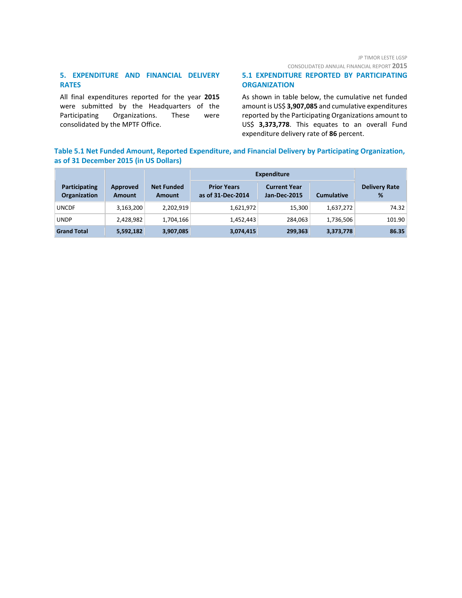CONSOLIDATED ANNUAL FINANCIAL REPORT **2015**

# **5. EXPENDITURE AND FINANCIAL DELIVERY RATES**

All final expenditures reported for the year **2015** were submitted by the Headquarters of the Participating Organizations. These were consolidated by the MPTF Office.

#### **5.1 EXPENDITURE REPORTED BY PARTICIPATING ORGANIZATION**

As shown in table below, the cumulative net funded amount is US\$ **3,907,085** and cumulative expenditures reported by the Participating Organizations amount to US\$ **3,373,778**. This equates to an overall Fund expenditure delivery rate of **86** percent.

# **Table 5.1 Net Funded Amount, Reported Expenditure, and Financial Delivery by Participating Organization, as of 31 December 2015 (in US Dollars)**

|                                      |                           |                                    | <b>Expenditure</b>                      |                                            |                   |                           |
|--------------------------------------|---------------------------|------------------------------------|-----------------------------------------|--------------------------------------------|-------------------|---------------------------|
| <b>Participating</b><br>Organization | Approved<br><b>Amount</b> | <b>Net Funded</b><br><b>Amount</b> | <b>Prior Years</b><br>as of 31-Dec-2014 | <b>Current Year</b><br><b>Jan-Dec-2015</b> | <b>Cumulative</b> | <b>Delivery Rate</b><br>% |
| <b>UNCDF</b>                         | 3,163,200                 | 2,202,919                          | 1,621,972                               | 15,300                                     | 1,637,272         | 74.32                     |
| <b>UNDP</b>                          | 2,428,982                 | 1,704,166                          | 1,452,443                               | 284,063                                    | 1,736,506         | 101.90                    |
| <b>Grand Total</b>                   | 5,592,182                 | 3,907,085                          | 3,074,415                               | 299,363                                    | 3,373,778         | 86.35                     |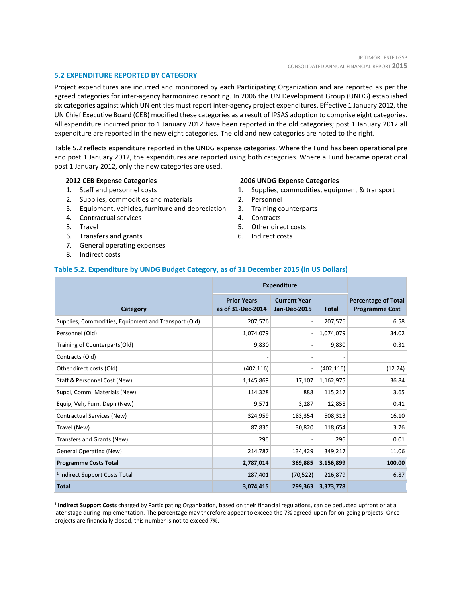#### **5.2 EXPENDITURE REPORTED BY CATEGORY**

Project expenditures are incurred and monitored by each Participating Organization and are reported as per the agreed categories for inter-agency harmonized reporting. In 2006 the UN Development Group (UNDG) established six categories against which UN entities must report inter-agency project expenditures. Effective 1 January 2012, the UN Chief Executive Board (CEB) modified these categories as a result of IPSAS adoption to comprise eight categories. All expenditure incurred prior to 1 January 2012 have been reported in the old categories; post 1 January 2012 all expenditure are reported in the new eight categories. The old and new categories are noted to the right.

Table 5.2 reflects expenditure reported in the UNDG expense categories. Where the Fund has been operational pre and post 1 January 2012, the expenditures are reported using both categories. Where a Fund became operational post 1 January 2012, only the new categories are used.

#### **2012 CEB Expense Categories**

- 1. Staff and personnel costs
- 2. Supplies, commodities and materials
- 3. Equipment, vehicles, furniture and depreciation
- 4. Contractual services
- 5. Travel
- 6. Transfers and grants
- 7. General operating expenses
- 8. Indirect costs

\_\_\_\_\_\_\_\_\_\_\_\_\_\_\_\_\_\_\_\_\_\_

#### **2006 UNDG Expense Categories**

- 1. Supplies, commodities, equipment & transport
- 2. Personnel
- 3. Training counterparts
- 4. Contracts
- 5. Other direct costs
- 6. Indirect costs

#### **Table 5.2. Expenditure by UNDG Budget Category, as of 31 December 2015 (in US Dollars)**

|                                                      | <b>Expenditure</b>                      |                                            |                   |                                                     |
|------------------------------------------------------|-----------------------------------------|--------------------------------------------|-------------------|-----------------------------------------------------|
| Category                                             | <b>Prior Years</b><br>as of 31-Dec-2014 | <b>Current Year</b><br><b>Jan-Dec-2015</b> | <b>Total</b>      | <b>Percentage of Total</b><br><b>Programme Cost</b> |
| Supplies, Commodities, Equipment and Transport (Old) | 207,576                                 | $\overline{\phantom{a}}$                   | 207,576           | 6.58                                                |
| Personnel (Old)                                      | 1,074,079                               | $\overline{\phantom{a}}$                   | 1,074,079         | 34.02                                               |
| Training of Counterparts(Old)                        | 9,830                                   | $\overline{\phantom{a}}$                   | 9,830             | 0.31                                                |
| Contracts (Old)                                      |                                         | $\qquad \qquad$                            |                   |                                                     |
| Other direct costs (Old)                             | (402, 116)                              | $\overline{\phantom{a}}$                   | (402, 116)        | (12.74)                                             |
| Staff & Personnel Cost (New)                         | 1,145,869                               | 17,107                                     | 1,162,975         | 36.84                                               |
| Suppl, Comm, Materials (New)                         | 114,328                                 | 888                                        | 115,217           | 3.65                                                |
| Equip, Veh, Furn, Depn (New)                         | 9,571                                   | 3,287                                      | 12,858            | 0.41                                                |
| Contractual Services (New)                           | 324,959                                 | 183,354                                    | 508,313           | 16.10                                               |
| Travel (New)                                         | 87,835                                  | 30,820                                     | 118,654           | 3.76                                                |
| Transfers and Grants (New)                           | 296                                     |                                            | 296               | 0.01                                                |
| <b>General Operating (New)</b>                       | 214,787                                 | 134,429                                    | 349,217           | 11.06                                               |
| <b>Programme Costs Total</b>                         | 2,787,014                               | 369,885                                    | 3,156,899         | 100.00                                              |
| <sup>1</sup> Indirect Support Costs Total            | 287,401                                 | (70, 522)                                  | 216,879           | 6.87                                                |
| <b>Total</b>                                         | 3,074,415                               |                                            | 299,363 3,373,778 |                                                     |

**<sup>1</sup> Indirect Support Costs** charged by Participating Organization, based on their financial regulations, can be deducted upfront or at a later stage during implementation. The percentage may therefore appear to exceed the 7% agreed-upon for on-going projects. Once projects are financially closed, this number is not to exceed 7%.